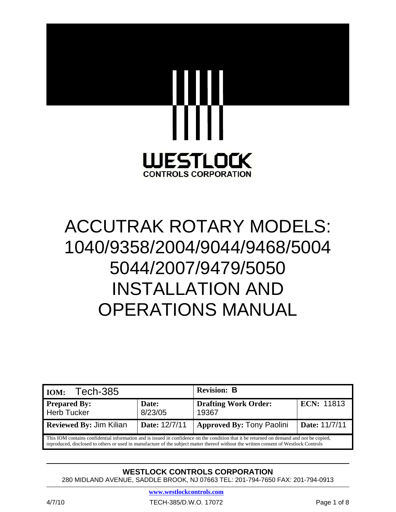

# ACCUTRAK ROTARY MODELS: 1040/9358/2004/9044/9468/5004 5044/2007/9479/5050 INSTALLATION AND OPERATIONS MANUAL

| Tech-385<br>IOM:                                                                                                                                                                                                                                                                  |                  | <b>Revision: B</b>                   |                   |
|-----------------------------------------------------------------------------------------------------------------------------------------------------------------------------------------------------------------------------------------------------------------------------------|------------------|--------------------------------------|-------------------|
| <b>Prepared By:</b><br>Herb Tucker                                                                                                                                                                                                                                                | Date:<br>8/23/05 | <b>Drafting Work Order:</b><br>19367 | <b>ECN: 11813</b> |
| <b>Reviewed By: Jim Kilian</b>                                                                                                                                                                                                                                                    | Date: 12/7/11    | <b>Approved By: Tony Paolini</b>     | Date: 11/7/11     |
| This IOM contains confidential information and is issued in confidence on the condition that it be returned on demand and not be copied,<br>reproduced, disclosed to others or used in manufacture of the subject matter thereof without the written consent of Westlock Controls |                  |                                      |                   |

# **WESTLOCK CONTROLS CORPORATION**

280 MIDLAND AVENUE, SADDLE BROOK, NJ 07663 TEL: 201-794-7650 FAX: 201-794-0913

**www.westlockcontrols.com**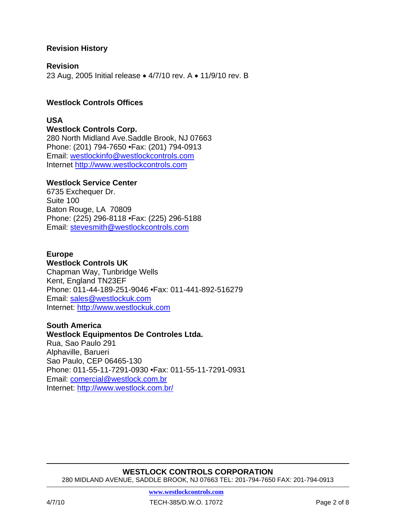# **Revision History**

#### **Revision**

23 Aug, 2005 Initial release • 4/7/10 rev. A • 11/9/10 rev. B

## **Westlock Controls Offices**

#### **USA**

**Westlock Controls Corp.** 280 North Midland Ave.Saddle Brook, NJ 07663 Phone: (201) 794-7650 •Fax: (201) 794-0913 Email: westlockinfo@westlockcontrols.com Internet http://www.westlockcontrols.com

#### **Westlock Service Center**

6735 Exchequer Dr. Suite 100 Baton Rouge, LA 70809 Phone: (225) 296-8118 •Fax: (225) 296-5188 Email: stevesmith@westlockcontrols.com

#### **Europe**

**Westlock Controls UK**  Chapman Way, Tunbridge Wells Kent, England TN23EF Phone: 011-44-189-251-9046 •Fax: 011-441-892-516279 Email: sales@westlockuk.com Internet: http://www.westlockuk.com

#### **South America**

#### **Westlock Equipmentos De Controles Ltda.**

Rua, Sao Paulo 291 Alphaville, Barueri Sao Paulo, CEP 06465-130 Phone: 011-55-11-7291-0930 •Fax: 011-55-11-7291-0931 Email: comercial@westlock.com.br Internet: http://www.westlock.com.br/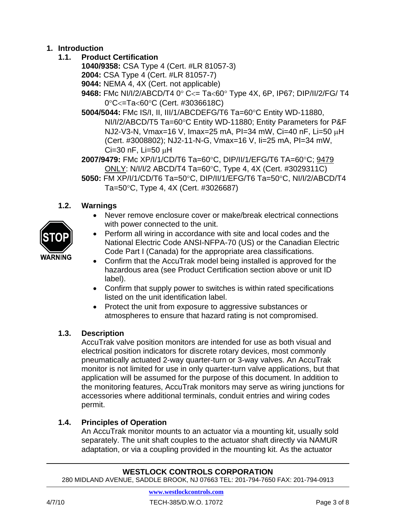# **1. Introduction**

# **1.1. Product Certification**

- **1040/9358:** CSA Type 4 (Cert. #LR 81057-3)
- **2004:** CSA Type 4 (Cert. #LR 81057-7)
- **9044:** NEMA 4, 4X (Cert. not applicable)
- **9468:** FMc NI/I/2/ABCD/T4 0° C<= Ta<60° Type 4X, 6P, IP67; DIP/II/2/FG/ T4 0°C<=Ta<60°C (Cert. #3036618C)
- **5004/5044:** FMc IS/I, II, III/1/ABCDEFG/T6 Ta=60°C Entity WD-11880, NI/I/2/ABCD/T5 Ta=60°C Entity WD-11880; Entity Parameters for P&F NJ2-V3-N, Vmax=16 V, Imax=25 mA, PI=34 mW, Ci=40 nF, Li=50 µH (Cert. #3008802); NJ2-11-N-G, Vmax=16 V, Ii=25 mA, PI=34 mW,  $Ci=30$  nF,  $Li=50$   $\mu$ H
- **2007/9479:** FMc XP/I/1/CD/T6 Ta=60°C, DIP/II/1/EFG/T6 TA=60°C; 9479 ONLY: N/I/I/2 ABCD/T4 Ta=60°C, Type 4, 4X (Cert. #3029311C)
- **5050:** FM XP/I/1/CD/T6 Ta=50°C, DIP/II/1/EFG/T6 Ta=50°C, NI/I/2/ABCD/T4 Ta=50°C, Type 4, 4X (Cert. #3026687)

# **1.2. Warnings**

- Never remove enclosure cover or make/break electrical connections with power connected to the unit.
- Perform all wiring in accordance with site and local codes and the National Electric Code ANSI-NFPA-70 (US) or the Canadian Electric Code Part I (Canada) for the appropriate area classifications.
- Confirm that the AccuTrak model being installed is approved for the hazardous area (see Product Certification section above or unit ID label).
- Confirm that supply power to switches is within rated specifications listed on the unit identification label.
- Protect the unit from exposure to aggressive substances or atmospheres to ensure that hazard rating is not compromised.

# **1.3. Description**

 AccuTrak valve position monitors are intended for use as both visual and electrical position indicators for discrete rotary devices, most commonly pneumatically actuated 2-way quarter-turn or 3-way valves. An AccuTrak monitor is not limited for use in only quarter-turn valve applications, but that application will be assumed for the purpose of this document. In addition to the monitoring features, AccuTrak monitors may serve as wiring junctions for accessories where additional terminals, conduit entries and wiring codes permit.

# **1.4. Principles of Operation**

 An AccuTrak monitor mounts to an actuator via a mounting kit, usually sold separately. The unit shaft couples to the actuator shaft directly via NAMUR adaptation, or via a coupling provided in the mounting kit. As the actuator

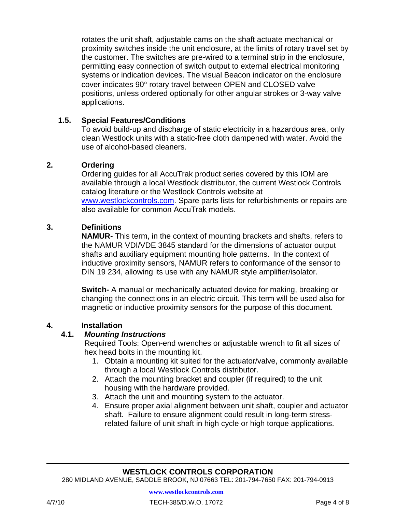rotates the unit shaft, adjustable cams on the shaft actuate mechanical or proximity switches inside the unit enclosure, at the limits of rotary travel set by the customer. The switches are pre-wired to a terminal strip in the enclosure, permitting easy connection of switch output to external electrical monitoring systems or indication devices. The visual Beacon indicator on the enclosure cover indicates 90° rotary travel between OPEN and CLOSED valve positions, unless ordered optionally for other angular strokes or 3-way valve applications.

#### **1.5. Special Features/Conditions**

To avoid build-up and discharge of static electricity in a hazardous area, only clean Westlock units with a static-free cloth dampened with water. Avoid the use of alcohol-based cleaners.

#### **2. Ordering**

 Ordering guides for all AccuTrak product series covered by this IOM are available through a local Westlock distributor, the current Westlock Controls catalog literature or the Westlock Controls website at www.westlockcontrols.com. Spare parts lists for refurbishments or repairs are also available for common AccuTrak models.

#### **3. Definitions**

 **NAMUR-** This term, in the context of mounting brackets and shafts, refers to the NAMUR VDI/VDE 3845 standard for the dimensions of actuator output shafts and auxiliary equipment mounting hole patterns. In the context of inductive proximity sensors, NAMUR refers to conformance of the sensor to DIN 19 234, allowing its use with any NAMUR style amplifier/isolator.

**Switch-** A manual or mechanically actuated device for making, breaking or changing the connections in an electric circuit. This term will be used also for magnetic or inductive proximity sensors for the purpose of this document.

#### **4. Installation**

#### **4.1.** *Mounting Instructions*

Required Tools: Open-end wrenches or adjustable wrench to fit all sizes of hex head bolts in the mounting kit.

- 1. Obtain a mounting kit suited for the actuator/valve, commonly available through a local Westlock Controls distributor.
- 2. Attach the mounting bracket and coupler (if required) to the unit housing with the hardware provided.
- 3. Attach the unit and mounting system to the actuator.
- 4. Ensure proper axial alignment between unit shaft, coupler and actuator shaft. Failure to ensure alignment could result in long-term stressrelated failure of unit shaft in high cycle or high torque applications.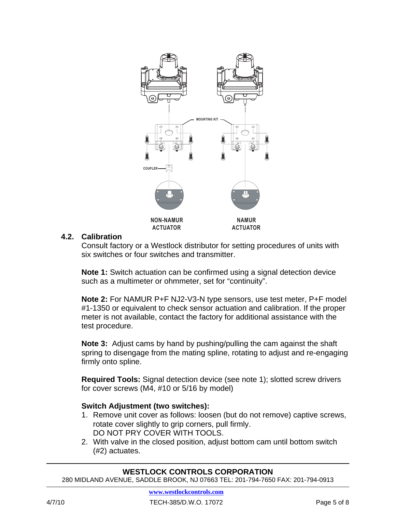

#### **4.2. Calibration**

Consult factory or a Westlock distributor for setting procedures of units with six switches or four switches and transmitter.

**Note 1:** Switch actuation can be confirmed using a signal detection device such as a multimeter or ohmmeter, set for "continuity".

**Note 2:** For NAMUR P+F NJ2-V3-N type sensors, use test meter, P+F model #1-1350 or equivalent to check sensor actuation and calibration. If the proper meter is not available, contact the factory for additional assistance with the test procedure.

**Note 3:** Adjust cams by hand by pushing/pulling the cam against the shaft spring to disengage from the mating spline, rotating to adjust and re-engaging firmly onto spline.

**Required Tools:** Signal detection device (see note 1); slotted screw drivers for cover screws (M4, #10 or 5/16 by model)

# **Switch Adjustment (two switches):**

- 1. Remove unit cover as follows: loosen (but do not remove) captive screws, rotate cover slightly to grip corners, pull firmly. DO NOT PRY COVER WITH TOOLS.
- 2. With valve in the closed position, adjust bottom cam until bottom switch (#2) actuates.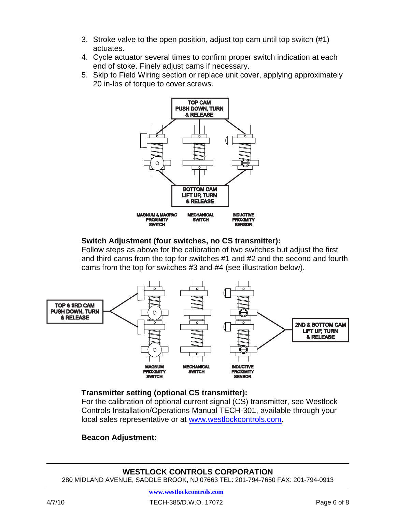- 3. Stroke valve to the open position, adjust top cam until top switch (#1) actuates.
- 4. Cycle actuator several times to confirm proper switch indication at each end of stoke. Finely adjust cams if necessary.
- 5. Skip to Field Wiring section or replace unit cover, applying approximately 20 in-lbs of torque to cover screws.



#### **Switch Adjustment (four switches, no CS transmitter):**

Follow steps as above for the calibration of two switches but adjust the first and third cams from the top for switches #1 and #2 and the second and fourth cams from the top for switches #3 and #4 (see illustration below).



# **Transmitter setting (optional CS transmitter):**

For the calibration of optional current signal (CS) transmitter, see Westlock Controls Installation/Operations Manual TECH-301, available through your local sales representative or at www.westlockcontrols.com.

# **Beacon Adjustment:**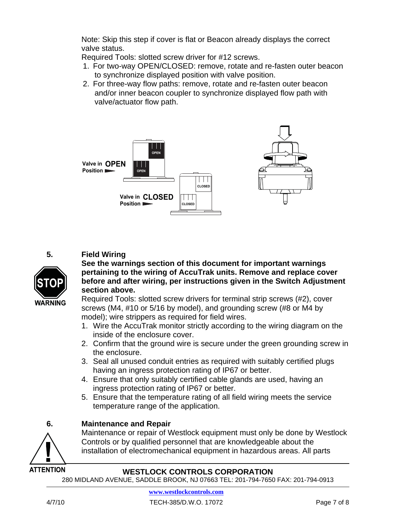Note: Skip this step if cover is flat or Beacon already displays the correct valve status.

Required Tools: slotted screw driver for #12 screws.

- 1. For two-way OPEN/CLOSED: remove, rotate and re-fasten outer beacon to synchronize displayed position with valve position.
- 2. For three-way flow paths: remove, rotate and re-fasten outer beacon and/or inner beacon coupler to synchronize displayed flow path with valve/actuator flow path.



# **5. Field Wiring**



#### **See the warnings section of this document for important warnings pertaining to the wiring of AccuTrak units. Remove and replace cover before and after wiring, per instructions given in the Switch Adjustment section above.**

Required Tools: slotted screw drivers for terminal strip screws (#2), cover screws (M4, #10 or 5/16 by model), and grounding screw (#8 or M4 by model); wire strippers as required for field wires.

- 1. Wire the AccuTrak monitor strictly according to the wiring diagram on the inside of the enclosure cover.
- 2. Confirm that the ground wire is secure under the green grounding screw in the enclosure.
- 3. Seal all unused conduit entries as required with suitably certified plugs having an ingress protection rating of IP67 or better.
- 4. Ensure that only suitably certified cable glands are used, having an ingress protection rating of IP67 or better.
- 5. Ensure that the temperature rating of all field wiring meets the service temperature range of the application.

# **6. Maintenance and Repair**

 Maintenance or repair of Westlock equipment must only be done by Westlock Controls or by qualified personnel that are knowledgeable about the installation of electromechanical equipment in hazardous areas. All parts

# **WESTLOCK CONTROLS CORPORATION**

280 MIDLAND AVENUE, SADDLE BROOK, NJ 07663 TEL: 201-794-7650 FAX: 201-794-0913

**ATTENTION**